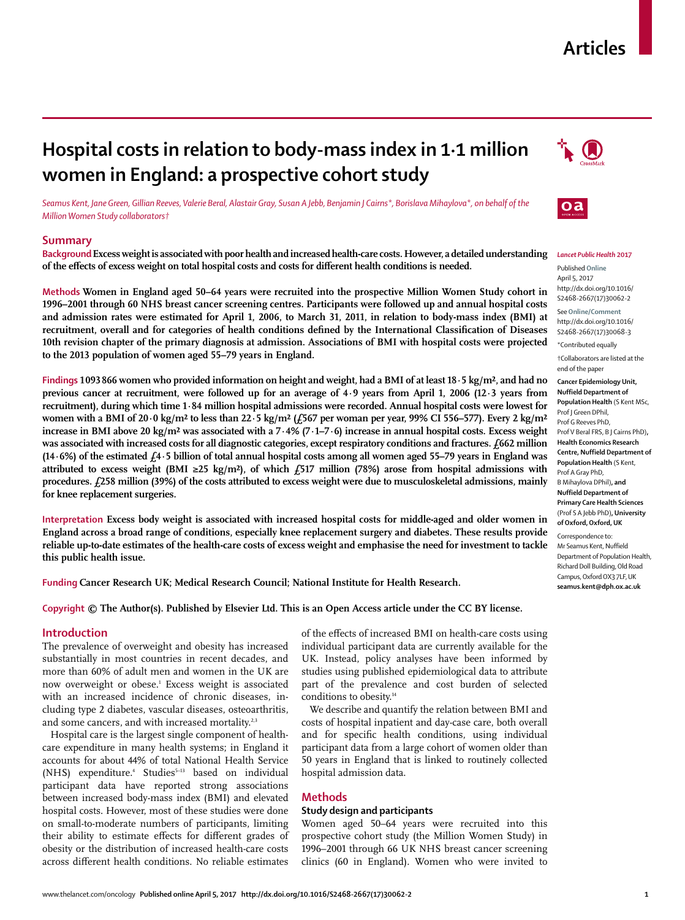# **Articles**

# **Hospital costs in relation to body-mass index in 1·1 million women in England: a prospective cohort study**

*Seamus Kent, Jane Green, Gillian Reeves, Valerie Beral, Alastair Gray, Susan A Jebb, Benjamin J Cairns\*, Borislava Mihaylova\*, on behalf of the Million Women Study collaborators†*

# **Summary**

**Background Excess weight is associated with poor health and increased health-care costs. However, a detailed understanding of the effects of excess weight on total hospital costs and costs for different health conditions is needed.**

**Methods Women in England aged 50–64 years were recruited into the prospective Million Women Study cohort in 1996–2001 through 60 NHS breast cancer screening centres. Participants were followed up and annual hospital costs and admission rates were estimated for April 1, 2006, to March 31, 2011, in relation to body-mass index (BMI) at recruitment, overall and for categories of health conditions defined by the International Classification of Diseases 10th revision chapter of the primary diagnosis at admission. Associations of BMI with hospital costs were projected to the 2013 population of women aged 55–79 years in England.**

Findings 1093866 women who provided information on height and weight, had a BMI of at least 18 · 5 kg/m<sup>2</sup>, and had no **previous cancer at recruitment, were followed up for an average of 4·9 years from April 1, 2006 (12·3 years from recruitment), during which time 1·84 million hospital admissions were recorded. Annual hospital costs were lowest for women with a BMI of 20·0 kg/m² to less than 22·5 kg/m² (£567 per woman per year, 99% CI 556–577). Every 2 kg/m² increase in BMI above 20 kg/m² was associated with a 7·4% (7·1–7·6) increase in annual hospital costs. Excess weight**  was associated with increased costs for all diagnostic categories, except respiratory conditions and fractures. £662 million **(14·6%) of the estimated £4·5 billion of total annual hospital costs among all women aged 55–79 years in England was attributed to excess weight (BMI ≥25 kg/m<sup>2</sup>), of which**  $f517$  **million (78%) arose from hospital admissions with procedures. £258 million (39%) of the costs attributed to excess weight were due to musculoskeletal admissions, mainly for knee replacement surgeries.**

**Interpretation Excess body weight is associated with increased hospital costs for middle-aged and older women in England across a broad range of conditions, especially knee replacement surgery and diabetes. These results provide reliable up-to-date estimates of the health-care costs of excess weight and emphasise the need for investment to tackle this public health issue.**

**Funding Cancer Research UK; Medical Research Council; National Institute for Health Research.**

**Copyright © The Author(s). Published by Elsevier Ltd. This is an Open Access article under the CC BY license.**

## **Introduction**

The prevalence of overweight and obesity has increased substantially in most countries in recent decades, and more than 60% of adult men and women in the UK are now overweight or obese.<sup>1</sup> Excess weight is associated with an increased incidence of chronic diseases, including type 2 diabetes, vascular diseases, osteoarthritis, and some cancers, and with increased mortality.<sup>2,3</sup>

Hospital care is the largest single component of healthcare expenditure in many health systems; in England it accounts for about 44% of total National Health Service (NHS) expenditure.<sup>4</sup> Studies<sup>5-13</sup> based on individual participant data have reported strong associations between increased body-mass index (BMI) and elevated hospital costs. However, most of these studies were done on small-to-moderate numbers of participants, limiting their ability to estimate effects for different grades of obesity or the distribution of increased health-care costs across different health conditions. No reliable estimates

of the effects of increased BMI on health-care costs using individual participant data are currently available for the UK. Instead, policy analyses have been informed by studies using published epidemiological data to attribute part of the prevalence and cost burden of selected conditions to obesity.<sup>14</sup>

We describe and quantify the relation between BMI and costs of hospital inpatient and day-case care, both overall and for specific health conditions, using individual participant data from a large cohort of women older than 50 years in England that is linked to routinely collected hospital admission data.

## **Methods**

## **Study design and participants**

Women aged 50–64 years were recruited into this prospective cohort study (the Million Women Study) in 1996–2001 through 66 UK NHS breast cancer screening clinics (60 in England). Women who were invited to





#### *Lancet Public Health* **2017**

Published **Online** April 5, 2017 http://dx.doi.org/10.1016/ S2468-2667(17)30062-2 See**Online/Comment** http://dx.doi.org/10.1016/ S2468-2667(17)30068-3

\*Contributed equally †Collaborators are listed at the end of the paper

**Cancer Epidemiology Unit, Nuffield Department of Population Health** (S Kent MSc, Prof J Green DPhil, Prof G Reeves PhD, Prof V Beral FRS, B J Cairns PhD)**, Health Economics Research Centre, Nuffield Department of Population Health** (S Kent, Prof A Gray PhD, B Mihaylova DPhil)**, and Nuffield Department of** 

**Primary Care Health Sciences** (Prof S A Jebb PhD)**, University of Oxford, Oxford, UK**

Correspondence to: Mr Seamus Kent, Nuffield Department of Population Health, Richard Doll Building, Old Road Campus, Oxford OX3 7LF, UK **seamus.kent@dph.ox.ac.uk**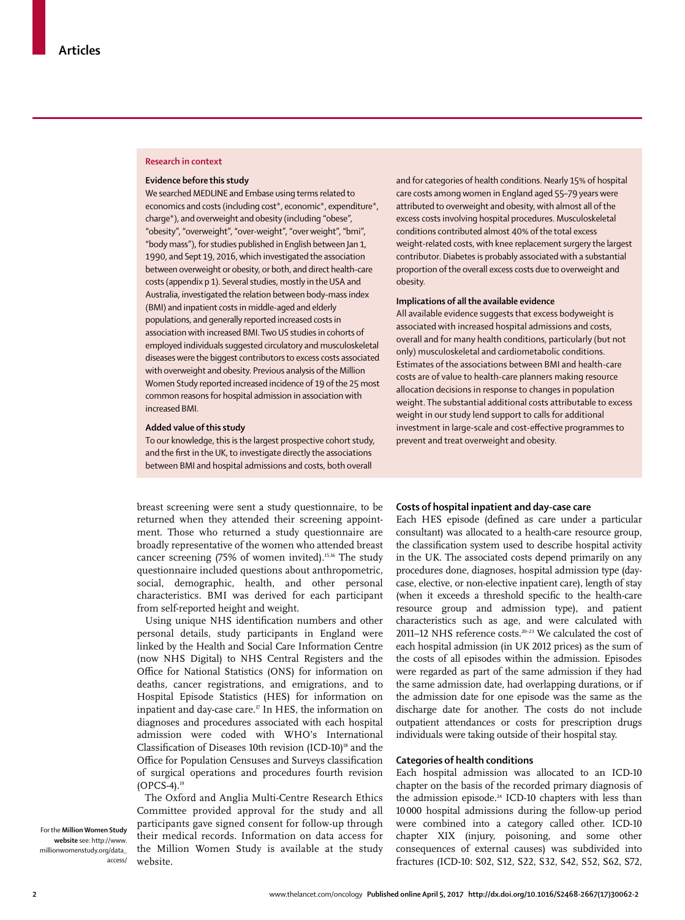#### **Research in context**

### **Evidence before this study**

We searched MEDLINE and Embase using terms related to economics and costs (including cost\*, economic\*, expenditure\*, charge\*), and overweight and obesity (including "obese", "obesity", "overweight", "over-weight", "over weight", "bmi", "body mass"), for studies published in English between Jan 1, 1990, and Sept 19, 2016, which investigated the association between overweight or obesity, or both, and direct health-care costs (appendix p 1). Several studies, mostly in the USA and Australia, investigated the relation between body-mass index (BMI) and inpatient costs in middle-aged and elderly populations, and generally reported increased costs in association with increased BMI. Two US studies in cohorts of employed individuals suggested circulatory and musculoskeletal diseases were the biggest contributors to excess costs associated with overweight and obesity. Previous analysis of the Million Women Study reported increased incidence of 19 of the 25 most common reasons for hospital admission in association with increased BMI.

## **Added value of this study**

To our knowledge, this is the largest prospective cohort study, and the first in the UK, to investigate directly the associations between BMI and hospital admissions and costs, both overall

breast screening were sent a study questionnaire, to be returned when they attended their screening appointment. Those who returned a study questionnaire are broadly representative of the women who attended breast cancer screening (75% of women invited).15,16 The study questionnaire included questions about anthropometric, social, demographic, health, and other personal characteristics. BMI was derived for each participant from self-reported height and weight.

Using unique NHS identification numbers and other personal details, study participants in England were linked by the Health and Social Care Information Centre (now NHS Digital) to NHS Central Registers and the Office for National Statistics (ONS) for information on deaths, cancer registrations, and emigrations, and to Hospital Episode Statistics (HES) for information on inpatient and day-case care. $17$  In HES, the information on diagnoses and procedures associated with each hospital admission were coded with WHO's International Classification of Diseases 10th revision  $(ICD-10)^{18}$  and the Office for Population Censuses and Surveys classification of surgical operations and procedures fourth revision (OPCS-4).19

The Oxford and Anglia Multi-Centre Research Ethics Committee provided approval for the study and all participants gave signed consent for follow-up through their medical records. Information on data access for the Million Women Study is available at the [study](http://www.millionwomenstudy.org/data_access/) [website](http://www.millionwomenstudy.org/data_access/).

and for categories of health conditions. Nearly 15% of hospital care costs among women in England aged 55–79 years were attributed to overweight and obesity, with almost all of the excess costs involving hospital procedures. Musculoskeletal conditions contributed almost 40% of the total excess weight-related costs, with knee replacement surgery the largest contributor. Diabetes is probably associated with a substantial proportion of the overall excess costs due to overweight and obesity.

### **Implications of all the available evidence**

All available evidence suggests that excess bodyweight is associated with increased hospital admissions and costs, overall and for many health conditions, particularly (but not only) musculoskeletal and cardiometabolic conditions. Estimates of the associations between BMI and health-care costs are of value to health-care planners making resource allocation decisions in response to changes in population weight. The substantial additional costs attributable to excess weight in our study lend support to calls for additional investment in large-scale and cost-effective programmes to prevent and treat overweight and obesity.

# **Costs of hospital inpatient and day-case care**

Each HES episode (defined as care under a particular consultant) was allocated to a health-care resource group, the classification system used to describe hospital activity in the UK. The associated costs depend primarily on any procedures done, diagnoses, hospital admission type (daycase, elective, or non-elective inpatient care), length of stay (when it exceeds a threshold specific to the health-care resource group and admission type), and patient characteristics such as age, and were calculated with 2011–12 NHS reference costs.<sup>20–23</sup> We calculated the cost of each hospital admission (in UK 2012 prices) as the sum of the costs of all episodes within the admission. Episodes were regarded as part of the same admission if they had the same admission date, had overlapping durations, or if the admission date for one episode was the same as the discharge date for another. The costs do not include outpatient attendances or costs for prescription drugs individuals were taking outside of their hospital stay.

# **Categories of health conditions**

Each hospital admission was allocated to an ICD-10 chapter on the basis of the recorded primary diagnosis of the admission episode.<sup>24</sup> ICD-10 chapters with less than 10000 hospital admissions during the follow-up period were combined into a category called other. ICD-10 chapter XIX (injury, poisoning, and some other consequences of external causes) was subdivided into fractures (ICD-10: S02, S12, S22, S32, S42, S52, S62, S72,

For the **Million Women Study website** see: [http://www.](http://www.millionwomenstudy.org/data_access/) [millionwomenstudy.org/data\\_](http://www.millionwomenstudy.org/data_access/) [access/](http://www.millionwomenstudy.org/data_access/)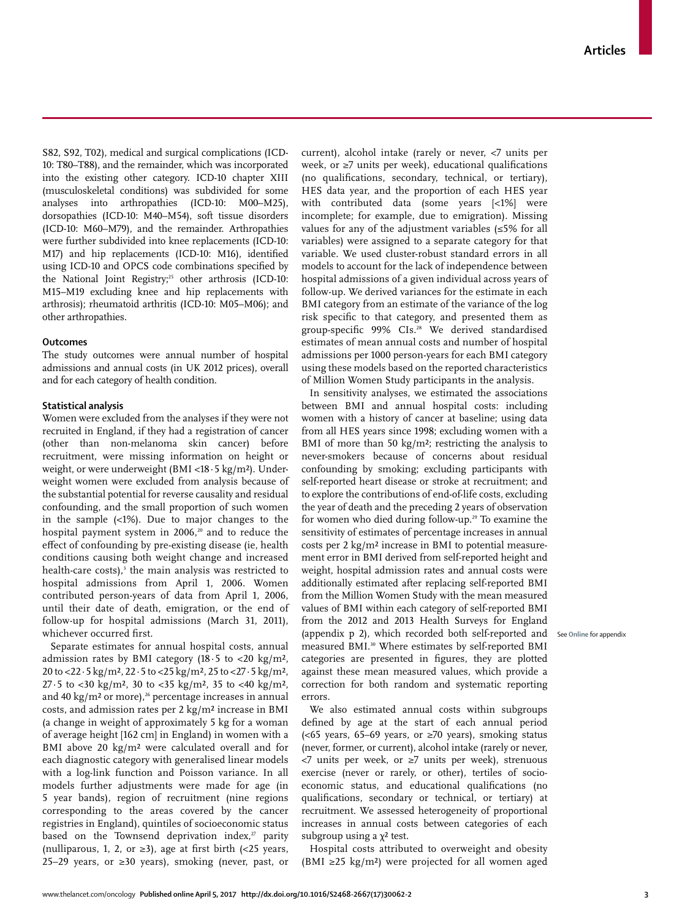S82, S92, T02), medical and surgical complications (ICD-10: T80–T88), and the remainder, which was incorporated into the existing other category. ICD-10 chapter XIII (musculoskeletal conditions) was subdivided for some analyses into arthropathies (ICD-10: M00–M25), dorsopathies (ICD-10: M40–M54), soft tissue disorders (ICD-10: M60–M79), and the remainder. Arthropathies were further subdivided into knee replacements (ICD-10: M17) and hip replacements (ICD-10: M16), identified using ICD-10 and OPCS code combinations specified by the National Joint Registry;<sup>25</sup> other arthrosis (ICD-10: M15–M19 excluding knee and hip replacements with arthrosis); rheumatoid arthritis (ICD-10: M05–M06); and other arthropathies.

### **Outcomes**

The study outcomes were annual number of hospital admissions and annual costs (in UK 2012 prices), overall and for each category of health condition.

# **Statistical analysis**

Women were excluded from the analyses if they were not recruited in England, if they had a registration of cancer (other than non-melanoma skin cancer) before recruitment, were missing information on height or weight, or were underweight (BMI <18·5 kg/m²). Underweight women were excluded from analysis because of the substantial potential for reverse causality and residual confounding, and the small proportion of such women in the sample (<1%). Due to major changes to the hospital payment system in 2006,<sup>20</sup> and to reduce the effect of confounding by pre-existing disease (ie, health conditions causing both weight change and increased health-care costs),<sup>3</sup> the main analysis was restricted to hospital admissions from April 1, 2006. Women contributed person-years of data from April 1, 2006, until their date of death, emigration, or the end of follow-up for hospital admissions (March 31, 2011), whichever occurred first.

Separate estimates for annual hospital costs, annual admission rates by BMI category  $(18.5 \text{ to } 20 \text{ kg/m}^2)$ , 20 to <22·5 kg/m², 22·5 to <25 kg/m², 25 to <27·5 kg/m², 27.5 to <30 kg/m<sup>2</sup>, 30 to <35 kg/m<sup>2</sup>, 35 to <40 kg/m<sup>2</sup>, and 40 kg/m<sup>2</sup> or more),<sup>26</sup> percentage increases in annual costs, and admission rates per 2 kg/m² increase in BMI (a change in weight of approximately 5 kg for a woman of average height [162 cm] in England) in women with a BMI above 20 kg/m² were calculated overall and for each diagnostic category with generalised linear models with a log-link function and Poisson variance. In all models further adjustments were made for age (in 5 year bands), region of recruitment (nine regions corresponding to the areas covered by the cancer registries in England), quintiles of socioeconomic status based on the Townsend deprivation index, $27$  parity (nulliparous, 1, 2, or  $\geq 3$ ), age at first birth (<25 years, 25–29 years, or ≥30 years), smoking (never, past, or current), alcohol intake (rarely or never, <7 units per week, or ≥7 units per week), educational qualifications (no qualifications, secondary, technical, or tertiary), HES data year, and the proportion of each HES year with contributed data (some years [<1%] were incomplete; for example, due to emigration). Missing values for any of the adjustment variables (≤5% for all variables) were assigned to a separate category for that variable. We used cluster-robust standard errors in all models to account for the lack of independence between hospital admissions of a given individual across years of follow-up. We derived variances for the estimate in each BMI category from an estimate of the variance of the log risk specific to that category, and presented them as group-specific 99% CIs.28 We derived standardised estimates of mean annual costs and number of hospital admissions per 1000 person-years for each BMI category using these models based on the reported characteristics of Million Women Study participants in the analysis.

In sensitivity analyses, we estimated the associations between BMI and annual hospital costs: including women with a history of cancer at baseline; using data from all HES years since 1998; excluding women with a BMI of more than 50 kg/m<sup>2</sup>; restricting the analysis to never-smokers because of concerns about residual confounding by smoking; excluding participants with self-reported heart disease or stroke at recruitment; and to explore the contributions of end-of-life costs, excluding the year of death and the preceding 2 years of observation for women who died during follow-up.29 To examine the sensitivity of estimates of percentage increases in annual costs per 2 kg/m² increase in BMI to potential measurement error in BMI derived from self-reported height and weight, hospital admission rates and annual costs were additionally estimated after replacing self-reported BMI from the Million Women Study with the mean measured values of BMI within each category of self-reported BMI from the 2012 and 2013 Health Surveys for England (appendix p 2), which recorded both self-reported and measured BMI.<sup>30</sup> Where estimates by self-reported BMI categories are presented in figures, they are plotted against these mean measured values, which provide a correction for both random and systematic reporting errors.

We also estimated annual costs within subgroups defined by age at the start of each annual period (<65 years, 65–69 years, or  $\geq$ 70 years), smoking status (never, former, or current), alcohol intake (rarely or never, <7 units per week, or ≥7 units per week), strenuous exercise (never or rarely, or other), tertiles of socioeconomic status, and educational qualifications (no qualifications, secondary or technical, or tertiary) at recruitment. We assessed heterogeneity of proportional increases in annual costs between categories of each subgroup using a  $χ²$  test.

Hospital costs attributed to overweight and obesity (BMI ≥25 kg/m<sup>2</sup>) were projected for all women aged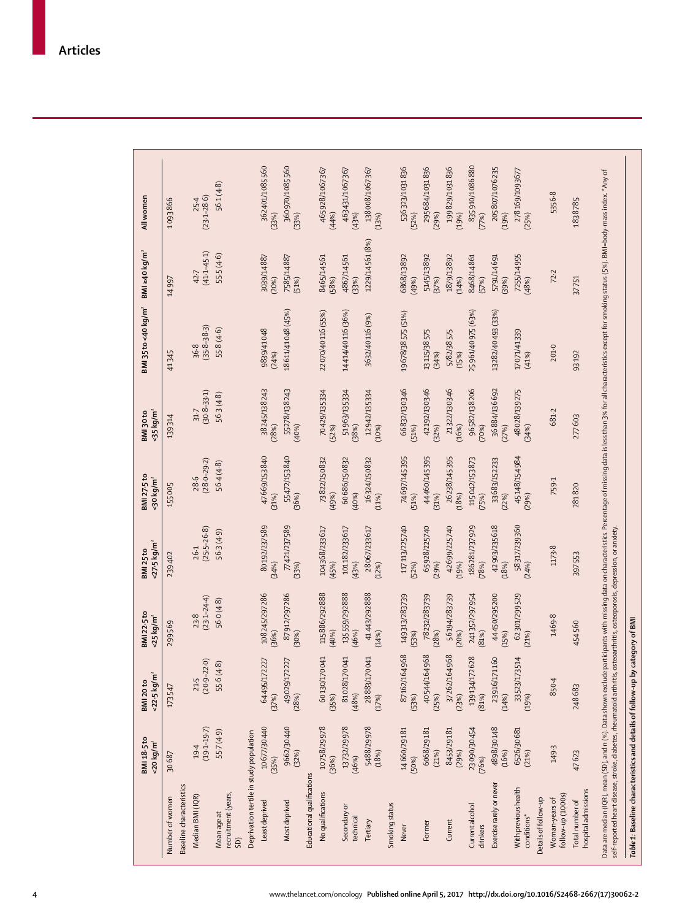|                                              | <b>BMI 18-5 to</b><br><20 kg/m <sup>2</sup> | $<$ 22-5 kg/m <sup>2</sup><br><b>BMI20to</b> | <b>BMI 22-5 to</b><br>$-25$ kg/m <sup>2</sup> | <27-5 kg/m <sup>2</sup><br><b>BMI 25 to</b> | <b>BMI 27-5 to</b><br><30kg/m <sup>2</sup> | <35 kg/m <sup>2</sup><br>BMI30to | BMI35 to <40 kg/m <sup>2</sup> | BMI ≥40 kg/m <sup>2</sup> | All women                 |
|----------------------------------------------|---------------------------------------------|----------------------------------------------|-----------------------------------------------|---------------------------------------------|--------------------------------------------|----------------------------------|--------------------------------|---------------------------|---------------------------|
| Number of women                              | 30687                                       | 173547                                       | 299569                                        | 239402                                      | 155005                                     | 139314                           | 41345                          | 14997                     | 1093866                   |
| Baseline characteristics<br>Median BMI (IQR) | 19.4                                        | 21.5                                         | $(23.1 - 24.4)$<br>23.8                       | $(25 - 5 - 26.8)$<br>26.1                   | $(28.0 - 29.2)$<br>28.6                    | $(30.8 - 33.1)$<br>31.7          | $(35.8 - 38.3)$<br>36.8        | $(41.1 - 45.1)$<br>42.7   | $(23.1 - 28.6)$<br>25.4   |
| recruitment (years,<br>Mean age at<br>SD     | $(19.1 - 19.7)$<br>55-7 (4.9)               | $(20.9 - 22.0)$<br>55.6 (4.8)                | 56.0(4.8)                                     | 56.3(4.9)                                   | 56.4(4.8)                                  | $56-3(4-8)$                      | 55-8 (4-6)                     | 55-5 (4-6)                | 56.1(4.8)                 |
| Deprivation tertile in study population      |                                             |                                              |                                               |                                             |                                            |                                  |                                |                           |                           |
| Least deprived                               | 10677/30440<br>(35%)                        | 64495/172227<br>(37%)                        | 108245/297286<br>(36%)                        | 80192/237589<br>(34%)                       | 47669/153840<br>(31%)                      | 38245/138243<br>(28%)            | 9839/41048<br>(24%)            | 3039/14887<br>(20%)       | 362 401/1085 560<br>(33%) |
| Most deprived                                | 9662/30440<br>(32%)                         | 49029/172227<br>(28%)                        | 87912/297286<br>(30%)                         | 77421/237589<br>(33%)                       | 55472/153840<br>(36%)                      | 55278/138243<br>(40%)            | 18611/41048 (45%)              | 7585/14887<br>(51%)       | 360970/1085560<br>(33%)   |
| Educational qualifications                   |                                             |                                              |                                               |                                             |                                            |                                  |                                |                           |                           |
| No qualifications                            | 10758/29978<br>(36%)                        | 60130/170041<br>(35%)                        | 115886/292888<br>(40%)                        | 104368/233617<br>(45%)                      | 73822/150832<br>(49%)                      | 70429/135334<br>(52%)            | 22070/40116 (55%)              | 8465/14561<br>(58%)       | 465928/1067367<br>(44%)   |
| Secondary or<br>technical                    | 13732/29978<br>(46%)                        | 81028/170041<br>(48%)                        | 135559/292888<br>(46%)                        | 101182/233617<br>(43%)                      | 60686/150832<br>(40%)                      | 51963/135334<br>(38%)            | 14414/40116 (36%)              | 4867/14561<br>(33%)       | 463431/1067367<br>(43%)   |
| Tertiary                                     | 5488/29978<br>(18%)                         | 28883/170041<br>(17%)                        | 41443/292888<br>(14%)                         | 28067/233617<br>(12%)                       | 16324/150832<br>(11%)                      | 12942/135334<br>(10%)            | 3632/40116 (9%)                | 1229/14561 (8%)           | 138008/1067367<br>(13%)   |
| Smoking status                               |                                             |                                              |                                               |                                             |                                            |                                  |                                |                           |                           |
| Never                                        | 14660/29181<br>(50%)                        | 87162/164968<br>(53%)                        | 149313/283739<br>(53%)                        | 117113/225740<br>(52%)                      | 74697/145395<br>(51%)                      | 66832/130346<br>(51%)            | 19678/38575 (51%)              | 6868/13892<br>(49%)       | 536323/1031836<br>(52%)   |
| Former                                       | 6068/29181<br>(21%)                         | 40544/164968<br>(25%)                        | 78232/283739<br>(28%)                         | 65928/225740<br>(29%)                       | 44460/145395<br>(31%)                      | 42192/130346<br>(32%)            | 13115/38575<br>(34%)           | 5145/13892<br>(37%)       | 295684/1031836<br>(29%)   |
| Current                                      | 8453/29181<br>(29%)                         | 37262/164968<br>(23%)                        | 56194/283739<br>(20%)                         | 42699/225740<br>(19%)                       | 26238/145395<br>(18%)                      | 21322/130346<br>(16%)            | 5782/38575<br>(15%)            | 1879/13892<br>(14%)       | 199829/1031836<br>(19%)   |
| Current alcohol<br>drinkers                  | 23090/30454<br>(76%)                        | 139134/172628<br>(81%)                       | 241352/297954<br>(81%)                        | 186281/237929<br>(78%)                      | 115042/153873<br>(75%)                     | 96582/138206<br>(70%)            | 25961/40975(63%)               | 8468/14861<br>(57%)       | 835910/1086880<br>(77%)   |
| Exercise rarely or never                     | 4898/30148<br>(16%)                         | 23916/171160<br>(14%)                        | 44450/295200<br>(15%)                         | 42903/235618<br>(18%)                       | 33683/152233<br>(22%)                      | 36884/136692<br>(27%)            | 13282/40493 (33%)              | 5791/14691<br>(39%)       | 205807/1076235<br>(19%)   |
| With previous health<br>conditions*          | 6526/30681<br>(21%)                         | 33523/173514<br>(19%)                        | 62301/299529<br>(21%)                         | 58317/239360<br>(24%)                       | 45148/154984<br>(29%)                      | 48028/139275<br>(34%)            | 17071/41339<br>(41%)           | 7255/14995<br>(48%)       | 278169/1093677<br>(25%)   |
| Details of follow-up                         |                                             |                                              |                                               |                                             |                                            |                                  |                                |                           |                           |
| follow-up (1000s)<br>Woman-years of          | 149.3                                       | 850-4                                        | 1469.8                                        | 1173.8                                      | 759.1                                      | 681.2                            | 201.0                          | 72.2                      | 5356.8                    |
| hospital admissions<br>Total number of       | 47623                                       | 248683                                       | 454560                                        | 397553                                      | 281820                                     | 277603                           | 93192                          | 37751                     | 1838785                   |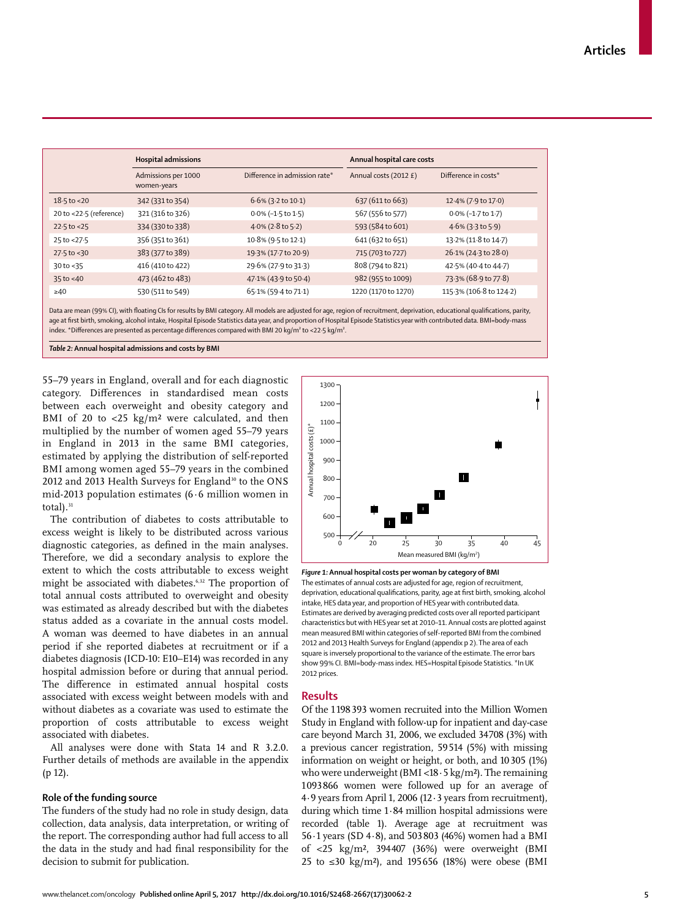|                                    | <b>Hospital admissions</b>         |                               | Annual hospital care costs |                         |
|------------------------------------|------------------------------------|-------------------------------|----------------------------|-------------------------|
|                                    | Admissions per 1000<br>women-years | Difference in admission rate* | Annual costs (2012 £)      | Difference in costs*    |
| $18.5$ to $< 20$                   | 342 (331 to 354)                   | $6.6\%$ (3.2 to 10.1)         | 637 (611 to 663)           | $12.4\%$ (7.9 to 17.0)  |
| 20 to $<$ 22 $\cdot$ 5 (reference) | 321 (316 to 326)                   | $0.0\%$ (-1.5 to 1.5)         | 567 (556 to 577)           | 0.0% (-1.7 to 1.7)      |
| $22.5$ to $< 25$                   | 334 (330 to 338)                   | $4.0\%$ (2.8 to 5.2)          | 593 (584 to 601)           | $4.6\%$ (3.3 to 5.9)    |
| $25$ to $< 27.5$                   | 356 (351 to 361)                   | 10.8% (9.5 to 12.1)           | 641 (632 to 651)           | 13.2% (11.8 to 14.7)    |
| $27.5$ to $< 30$                   | 383 (377 to 389)                   | 19.3% (17.7 to 20.9)          | 715 (703 to 727)           | 26.1% (24.3 to 28.0)    |
| $30$ to $< 35$                     | 416 (410 to 422)                   | 29.6% (27.9 to 31.3)          | 808 (794 to 821)           | 42.5% (40.4 to 44.7)    |
| $35$ to $< 40$                     | 473 (462 to 483)                   | 47.1% (43.9 to 50.4)          | 982 (955 to 1009)          | 73.3% (68.9 to 77.8)    |
| $\geq 40$                          | 530 (511 to 549)                   | 65.1% (59.4 to 71.1)          | 1220 (1170 to 1270)        | 115.3% (106.8 to 124.2) |

Data are mean (99% CI), with floating CIs for results by BMI category. All models are adjusted for age, region of recruitment, deprivation, educational qualifications, parity, age at first birth, smoking, alcohol intake, Hospital Episode Statistics data year, and proportion of Hospital Episode Statistics year with contributed data. BMI=body-mass index. \*Differences are presented as percentage differences compared with BMI 20 kg/m² to <22·5 kg/m².

*Table 2:* **Annual hospital admissions and costs by BMI**

55–79 years in England, overall and for each diagnostic category. Differences in standardised mean costs between each overweight and obesity category and BMI of 20 to  $<$  25 kg/m<sup>2</sup> were calculated, and then multiplied by the number of women aged 55–79 years in England in 2013 in the same BMI categories, estimated by applying the distribution of self-reported BMI among women aged 55–79 years in the combined 2012 and 2013 Health Surveys for England<sup>30</sup> to the ONS mid-2013 population estimates (6·6 million women in total). $31$ 

The contribution of diabetes to costs attributable to excess weight is likely to be distributed across various diagnostic categories, as defined in the main analyses. Therefore, we did a secondary analysis to explore the extent to which the costs attributable to excess weight might be associated with diabetes.6,32 The proportion of total annual costs attributed to overweight and obesity was estimated as already described but with the diabetes status added as a covariate in the annual costs model. A woman was deemed to have diabetes in an annual period if she reported diabetes at recruitment or if a diabetes diagnosis (ICD-10: E10–E14) was recorded in any hospital admission before or during that annual period. The difference in estimated annual hospital costs associated with excess weight between models with and without diabetes as a covariate was used to estimate the proportion of costs attributable to excess weight associated with diabetes.

All analyses were done with Stata 14 and R 3.2.0. Further details of methods are available in the appendix (p 12).

## **Role of the funding source**

The funders of the study had no role in study design, data collection, data analysis, data interpretation, or writing of the report. The corresponding author had full access to all the data in the study and had final responsibility for the decision to submit for publication.



*Figure 1:* **Annual hospital costs per woman by category of BMI** The estimates of annual costs are adjusted for age, region of recruitment, deprivation, educational qualifications, parity, age at first birth, smoking, alcohol intake, HES data year, and proportion of HES year with contributed data. Estimates are derived by averaging predicted costs over all reported participant characteristics but with HES year set at 2010–11. Annual costs are plotted against mean measured BMI within categories of self-reported BMI from the combined 2012 and 2013 Health Surveys for England (appendix p 2). The area of each square is inversely proportional to the variance of the estimate. The error bars show 99% CI. BMI=body-mass index. HES=Hospital Episode Statistics. \*In UK 2012 prices.

#### **Results**

Of the 1198393 women recruited into the Million Women Study in England with follow-up for inpatient and day-case care beyond March 31, 2006, we excluded 34708 (3%) with a previous cancer registration, 59514 (5%) with missing information on weight or height, or both, and 10305 (1%) who were underweight (BMI <18 $\cdot$  5 kg/m<sup>2</sup>). The remaining 1093866 women were followed up for an average of 4·9 years from April 1, 2006 (12·3 years from recruitment), during which time 1·84 million hospital admissions were recorded (table 1). Average age at recruitment was 56·1 years (SD 4·8), and 503803 (46%) women had a BMI of <25 kg/m², 394407 (36%) were overweight (BMI 25 to ≤30 kg/m<sup>2</sup>), and 195656 (18%) were obese (BMI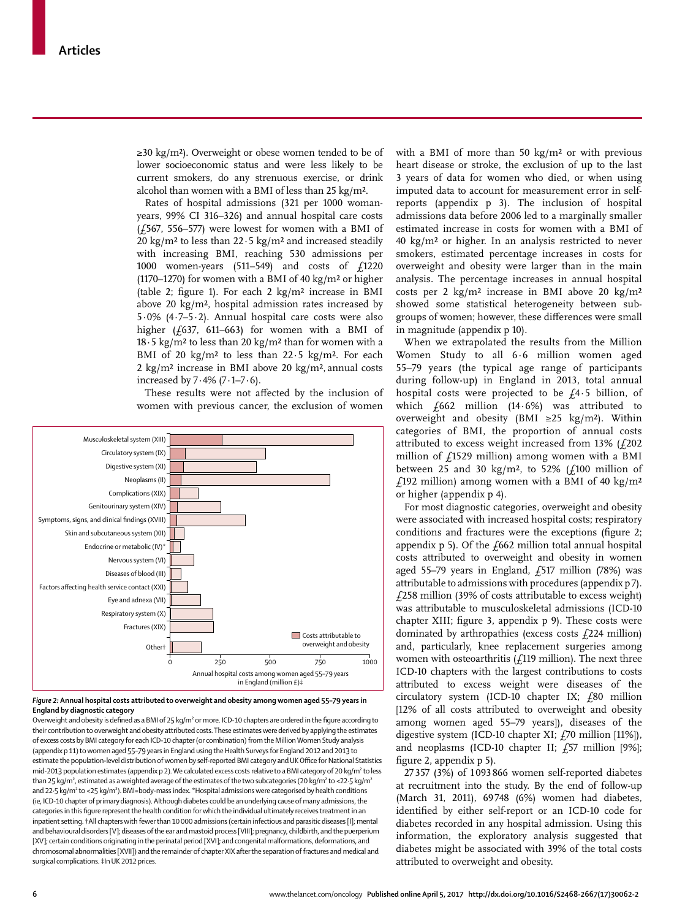≥30 kg/m²). Overweight or obese women tended to be of lower socioeconomic status and were less likely to be current smokers, do any strenuous exercise, or drink alcohol than women with a BMI of less than 25 kg/m².

Rates of hospital admissions (321 per 1000 womanyears, 99% CI 316–326) and annual hospital care costs ( $£567, 556–577$ ) were lowest for women with a BMI of 20 kg/m<sup>2</sup> to less than  $22.5$  kg/m<sup>2</sup> and increased steadily with increasing BMI, reaching 530 admissions per 1000 women-years (511–549) and costs of  $f1220$ (1170–1270) for women with a BMI of  $40 \text{ kg/m}^2$  or higher (table 2; figure 1). For each 2  $kg/m^2$  increase in BMI above 20 kg/m², hospital admission rates increased by 5·0% (4·7–5·2). Annual hospital care costs were also higher  $(f637, 611-663)$  for women with a BMI of 18 $\cdot$  5 kg/m<sup>2</sup> to less than 20 kg/m<sup>2</sup> than for women with a BMI of 20 kg/m<sup>2</sup> to less than  $22.5$  kg/m<sup>2</sup>. For each 2 kg/m² increase in BMI above 20 kg/m², annual costs increased by 7·4% (7·1–7·6).

These results were not affected by the inclusion of women with previous cancer, the exclusion of women



#### *Figure 2:* **Annual hospital costs attributed to overweight and obesity among women aged 55–79 years in England by diagnostic category**

Overweight and obesity is defined as a BMI of 25 kg/m² or more. ICD-10 chapters are ordered in the figure according to their contribution to overweight and obesity attributed costs. These estimates were derived by applying the estimates of excess costs by BMI category for each ICD-10 chapter (or combination) from the Million Women Study analysis (appendix p 11) to women aged 55–79 years in England using the Health Surveys for England 2012 and 2013 to estimate the population-level distribution of women by self-reported BMI category and UK Office for National Statistics mid-2013 population estimates (appendix p 2). We calculated excess costs relative to a BMI category of 20 kg/m<sup>2</sup> to less than 25 kg/m<sup>2</sup>, estimated as a weighted average of the estimates of the two subcategories (20 kg/m<sup>2</sup> to <22·5 kg/m<sup>2</sup> and 22·5 kg/m² to <25 kg/m²). BMI=body-mass index. \*Hospital admissions were categorised by health conditions (ie, ICD-10 chapter of primary diagnosis). Although diabetes could be an underlying cause of many admissions, the categories in this figure represent the health condition for which the individual ultimately receives treatment in an inpatient setting. †All chapters with fewer than 10000 admissions (certain infectious and parasitic diseases [I]; mental and behavioural disorders [V]; diseases of the ear and mastoid process [VIII]; pregnancy, childbirth, and the puerperium [XVI]; certain conditions originating in the perinatal period [XVI]; and congenital malformations, deformations, and chromosomal abnormalities [XVII]) and the remainder of chapter XIX after the separation of fractures and medical and surgical complications. ‡In UK 2012 prices.

with a BMI of more than 50 kg/m<sup>2</sup> or with previous heart disease or stroke, the exclusion of up to the last 3 years of data for women who died, or when using imputed data to account for measurement error in selfreports (appendix p 3). The inclusion of hospital admissions data before 2006 led to a marginally smaller estimated increase in costs for women with a BMI of 40 kg/m² or higher. In an analysis restricted to never smokers, estimated percentage increases in costs for overweight and obesity were larger than in the main analysis. The percentage increases in annual hospital costs per 2 kg/m<sup>2</sup> increase in BMI above 20 kg/m<sup>2</sup> showed some statistical heterogeneity between subgroups of women; however, these differences were small in magnitude (appendix p 10).

When we extrapolated the results from the Million Women Study to all 6·6 million women aged 55–79 years (the typical age range of participants during follow-up) in England in 2013, total annual hospital costs were projected to be  $f_4$ . 5 billion, of which  $£662$  million  $(14.6%)$  was attributed to overweight and obesity (BMI ≥25 kg/m²). Within categories of BMI, the proportion of annual costs attributed to excess weight increased from  $13\%$  ( $f202$ million of  $f_{1529}$  million) among women with a BMI between 25 and 30 kg/m<sup>2</sup>, to 52% ( $\text{\emph{f}}100$  million of  $f$ 192 million) among women with a BMI of 40 kg/m<sup>2</sup> or higher (appendix p 4).

For most diagnostic categories, overweight and obesity were associated with increased hospital costs; respiratory conditions and fractures were the exceptions (figure 2; appendix  $p$  5). Of the  $f$ 662 million total annual hospital costs attributed to overweight and obesity in women aged 55–79 years in England,  $f$ 517 million (78%) was attributable to admissions with procedures (appendix p 7). £258 million (39% of costs attributable to excess weight) was attributable to musculoskeletal admissions (ICD-10 chapter XIII; figure 3, appendix p 9). These costs were dominated by arthropathies (excess costs £224 million) and, particularly, knee replacement surgeries among women with osteoarthritis ( $f$ 119 million). The next three ICD-10 chapters with the largest contributions to costs attributed to excess weight were diseases of the circulatory system (ICD-10 chapter IX; £80 million [12% of all costs attributed to overweight and obesity among women aged 55–79 years]), diseases of the digestive system (ICD-10 chapter XI; £70 million [11%]), and neoplasms (ICD-10 chapter II;  $f$ 57 million [9%]; figure 2, appendix p 5).

27 357 (3%) of 1 093 866 women self-reported diabetes at recruitment into the study. By the end of follow-up (March 31, 2011), 69748 (6%) women had diabetes, identified by either self-report or an ICD-10 code for diabetes recorded in any hospital admission. Using this information, the exploratory analysis suggested that diabetes might be associated with 39% of the total costs attributed to overweight and obesity.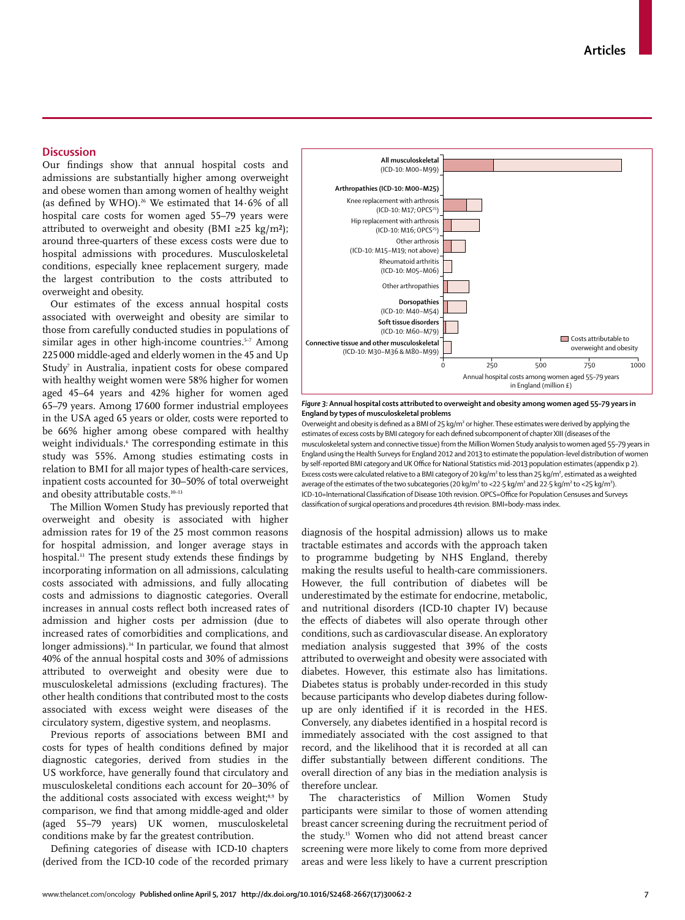# **Discussion**

Our findings show that annual hospital costs and admissions are substantially higher among overweight and obese women than among women of healthy weight (as defined by WHO).<sup>26</sup> We estimated that  $14.6\%$  of all hospital care costs for women aged 55–79 years were attributed to overweight and obesity (BMI ≥25 kg/m<sup>2</sup>); around three-quarters of these excess costs were due to hospital admissions with procedures. Musculoskeletal conditions, especially knee replacement surgery, made the largest contribution to the costs attributed to overweight and obesity.

Our estimates of the excess annual hospital costs associated with overweight and obesity are similar to those from carefully conducted studies in populations of similar ages in other high-income countries.<sup>5-7</sup> Among 225 000 middle-aged and elderly women in the 45 and Up Study7 in Australia, inpatient costs for obese compared with healthy weight women were 58% higher for women aged 45–64 years and 42% higher for women aged 65–79 years. Among 17 600 former industrial employees in the USA aged 65 years or older, costs were reported to be 66% higher among obese compared with healthy weight individuals.6 The corresponding estimate in this study was 55%. Among studies estimating costs in relation to BMI for all major types of health-care services, inpatient costs accounted for 30–50% of total overweight and obesity attributable costs.10–13

The Million Women Study has previously reported that overweight and obesity is associated with higher admission rates for 19 of the 25 most common reasons for hospital admission, and longer average stays in hospital.<sup>33</sup> The present study extends these findings by incorporating information on all admissions, calculating costs associated with admissions, and fully allocating costs and admissions to diagnostic categories. Overall increases in annual costs reflect both increased rates of admission and higher costs per admission (due to increased rates of comorbidities and complications, and longer admissions).<sup>34</sup> In particular, we found that almost 40% of the annual hospital costs and 30% of admissions attributed to overweight and obesity were due to musculoskeletal admissions (excluding fractures). The other health conditions that contributed most to the costs associated with excess weight were diseases of the circulatory system, digestive system, and neoplasms.

Previous reports of associations between BMI and costs for types of health conditions defined by major diagnostic categories, derived from studies in the US workforce, have generally found that circulatory and musculoskeletal conditions each account for 20–30% of the additional costs associated with excess weight;<sup>8,9</sup> by comparison, we find that among middle-aged and older (aged 55–79 years) UK women, musculoskeletal conditions make by far the greatest contribution.

Defining categories of disease with ICD-10 chapters (derived from the ICD-10 code of the recorded primary



*Figure 3:* **Annual hospital costs attributed to overweight and obesity among women aged 55–79 years in England by types of musculoskeletal problems**

Overweight and obesity is defined as a BMI of 25 kg/m² or higher. These estimates were derived by applying the estimates of excess costs by BMI category for each defined subcomponent of chapter XIII (diseases of the musculoskeletal system and connective tissue) from the Million Women Study analysis to women aged 55–79 years in England using the Health Surveys for England 2012 and 2013 to estimate the population-level distribution of women by self-reported BMI category and UK Office for National Statistics mid-2013 population estimates (appendix p 2). Excess costs were calculated relative to a BMI category of 20 kg/m² to less than 25 kg/m², estimated as a weighted average of the estimates of the two subcategories (20 kg/m² to <22·5 kg/m² and 22·5 kg/m² to <25 kg/m²). ICD-10=International Classification of Disease 10th revision. OPCS=Office for Population Censuses and Surveys classification of surgical operations and procedures 4th revision. BMI=body-mass index.

diagnosis of the hospital admission) allows us to make tractable estimates and accords with the approach taken to programme budgeting by NHS England, thereby making the results useful to health-care commissioners. However, the full contribution of diabetes will be underestimated by the estimate for endocrine, metabolic, and nutritional disorders (ICD-10 chapter IV) because the effects of diabetes will also operate through other conditions, such as cardiovascular disease. An exploratory mediation analysis suggested that 39% of the costs attributed to overweight and obesity were associated with diabetes. However, this estimate also has limitations. Diabetes status is probably under-recorded in this study because participants who develop diabetes during followup are only identified if it is recorded in the HES. Conversely, any diabetes identified in a hospital record is immediately associated with the cost assigned to that record, and the likelihood that it is recorded at all can differ substantially between different conditions. The overall direction of any bias in the mediation analysis is therefore unclear.

The characteristics of Million Women Study participants were similar to those of women attending breast cancer screening during the recruitment period of the study.15 Women who did not attend breast cancer screening were more likely to come from more deprived areas and were less likely to have a current prescription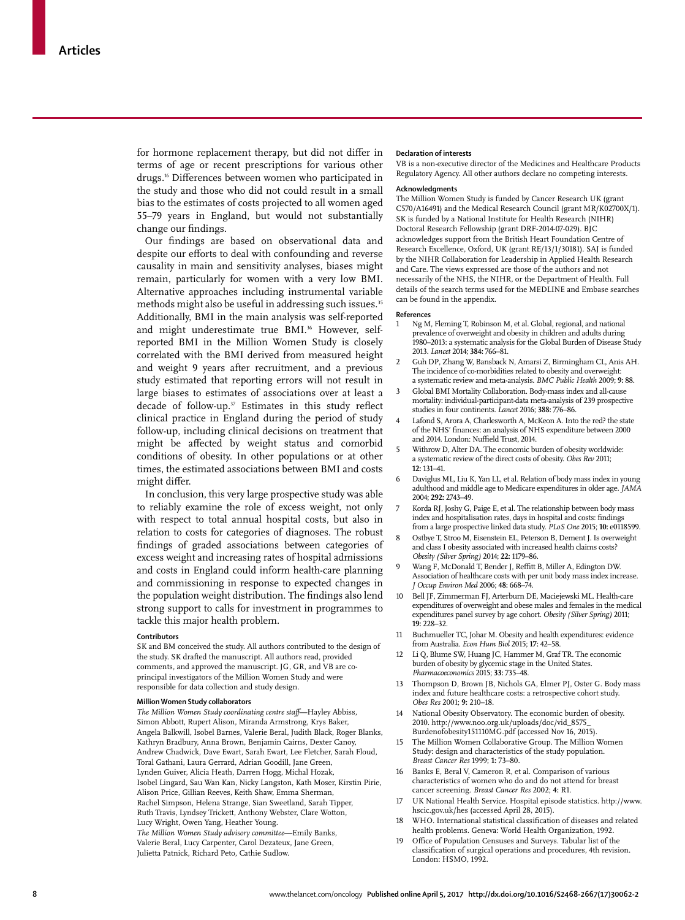for hormone replacement therapy, but did not differ in terms of age or recent prescriptions for various other drugs.<sup>16</sup> Differences between women who participated in the study and those who did not could result in a small bias to the estimates of costs projected to all women aged 55–79 years in England, but would not substantially change our findings.

Our findings are based on observational data and despite our efforts to deal with confounding and reverse causality in main and sensitivity analyses, biases might remain, particularly for women with a very low BMI. Alternative approaches including instrumental variable methods might also be useful in addressing such issues.<sup>35</sup> Additionally, BMI in the main analysis was self-reported and might underestimate true BMI.<sup>36</sup> However, selfreported BMI in the Million Women Study is closely correlated with the BMI derived from measured height and weight 9 years after recruitment, and a previous study estimated that reporting errors will not result in large biases to estimates of associations over at least a decade of follow-up.<sup>37</sup> Estimates in this study reflect clinical practice in England during the period of study follow-up, including clinical decisions on treatment that might be affected by weight status and comorbid conditions of obesity. In other populations or at other times, the estimated associations between BMI and costs might differ.

In conclusion, this very large prospective study was able to reliably examine the role of excess weight, not only with respect to total annual hospital costs, but also in relation to costs for categories of diagnoses. The robust findings of graded associations between categories of excess weight and increasing rates of hospital admissions and costs in England could inform health-care planning and commissioning in response to expected changes in the population weight distribution. The findings also lend strong support to calls for investment in programmes to tackle this major health problem.

#### **Contributors**

SK and BM conceived the study. All authors contributed to the design of the study. SK drafted the manuscript. All authors read, provided comments, and approved the manuscript. JG, GR, and VB are coprincipal investigators of the Million Women Study and were responsible for data collection and study design.

#### **Million Women Study collaborators**

*The Million Women Study coordinating centre staff***—**Hayley Abbiss, Simon Abbott, Rupert Alison, Miranda Armstrong, Krys Baker, Angela Balkwill, Isobel Barnes, Valerie Beral, Judith Black, Roger Blanks, Kathryn Bradbury, Anna Brown, Benjamin Cairns, Dexter Canoy, Andrew Chadwick, Dave Ewart, Sarah Ewart, Lee Fletcher, Sarah Floud, Toral Gathani, Laura Gerrard, Adrian Goodill, Jane Green, Lynden Guiver, Alicia Heath, Darren Hogg, Michal Hozak, Isobel Lingard, Sau Wan Kan, Nicky Langston, Kath Moser, Kirstin Pirie, Alison Price, Gillian Reeves, Keith Shaw, Emma Sherman, Rachel Simpson, Helena Strange, Sian Sweetland, Sarah Tipper, Ruth Travis, Lyndsey Trickett, Anthony Webster, Clare Wotton, Lucy Wright, Owen Yang, Heather Young. *The Million Women Study advisory committee***—**Emily Banks, Valerie Beral, Lucy Carpenter, Carol Dezateux, Jane Green, Julietta Patnick, Richard Peto, Cathie Sudlow.

#### **Declaration of interests**

VB is a non-executive director of the Medicines and Healthcare Products Regulatory Agency. All other authors declare no competing interests.

#### **Acknowledgments**

The Million Women Study is funded by Cancer Research UK (grant C570/A16491) and the Medical Research Council (grant MR/K02700X/1). SK is funded by a National Institute for Health Research (NIHR) Doctoral Research Fellowship (grant DRF-2014-07-029). BJC acknowledges support from the British Heart Foundation Centre of Research Excellence, Oxford, UK (grant RE/13/1/30181). SAJ is funded by the NIHR Collaboration for Leadership in Applied Health Research and Care. The views expressed are those of the authors and not necessarily of the NHS, the NIHR, or the Department of Health. Full details of the search terms used for the MEDLINE and Embase searches can be found in the appendix.

#### **References**

- 1 Ng M, Fleming T, Robinson M, et al. Global, regional, and national prevalence of overweight and obesity in children and adults during 1980–2013: a systematic analysis for the Global Burden of Disease Study 2013. *Lancet* 2014; **384:** 766–81.
- 2 Guh DP, Zhang W, Bansback N, Amarsi Z, Birmingham CL, Anis AH. The incidence of co-morbidities related to obesity and overweight: a systematic review and meta-analysis. *BMC Public Health* 2009; **9:** 88.
- 3 Global BMI Mortality Collaboration. Body-mass index and all-cause mortality: individual-participant-data meta-analysis of 239 prospective studies in four continents. *Lancet* 2016; **388:** 776–86.
- Lafond S, Arora A, Charlesworth A, McKeon A. Into the red? the state of the NHS' finances: an analysis of NHS expenditure between 2000 and 2014. London: Nuffield Trust, 2014.
- 5 Withrow D, Alter DA. The economic burden of obesity worldwide: a systematic review of the direct costs of obesity. *Obes Rev* 2011; **12:** 131–41.
- 6 Daviglus ML, Liu K, Yan LL, et al. Relation of body mass index in young adulthood and middle age to Medicare expenditures in older age. *JAMA* 2004; **292:** 2743–49.
- Korda RJ, Joshy G, Paige E, et al. The relationship between body mass index and hospitalisation rates, days in hospital and costs: findings from a large prospective linked data study. *PLoS One* 2015; **10:** e0118599.
- 8 Ostbye T, Stroo M, Eisenstein EL, Peterson B, Dement J. Is overweight and class I obesity associated with increased health claims costs? *Obesity (Silver Spring)* 2014; **22:** 1179–86.
- 9 Wang F, McDonald T, Bender J, Reffitt B, Miller A, Edington DW. Association of healthcare costs with per unit body mass index increase. *J Occup Environ Med* 2006; **48:** 668–74.
- 10 Bell JF, Zimmerman FJ, Arterburn DE, Maciejewski ML. Health-care expenditures of overweight and obese males and females in the medical expenditures panel survey by age cohort. *Obesity (Silver Spring)* 2011; **19:** 228–32.
- 11 Buchmueller TC, Johar M. Obesity and health expenditures: evidence from Australia. *Econ Hum Biol* 2015; **17:** 42–58.
- 12 Li Q, Blume SW, Huang JC, Hammer M, Graf TR. The economic burden of obesity by glycemic stage in the United States. *Pharmacoeconomics* 2015; **33:** 735–48.
- 13 Thompson D, Brown JB, Nichols GA, Elmer PJ, Oster G. Body mass index and future healthcare costs: a retrospective cohort study. *Obes Res* 2001; **9:** 210–18.
- 14 National Obesity Observatory. The economic burden of obesity. 2010. http://www.noo.org.uk/uploads/doc/vid\_8575\_ Burdenofobesity151110MG.pdf (accessed Nov 16, 2015).
- The Million Women Collaborative Group. The Million Women Study: design and characteristics of the study population. *Breast Cancer Res* 1999; **1:** 73–80.
- 16 Banks E, Beral V, Cameron R, et al. Comparison of various characteristics of women who do and do not attend for breast cancer screening. *Breast Cancer Res* 2002; **4:** R1.
- 17 UK National Health Service. Hospital episode statistics. http://www. hscic.gov.uk/hes (accessed April 28, 2015).
- 18 WHO. International statistical classification of diseases and related health problems. Geneva: World Health Organization, 1992.
- 19 Office of Population Censuses and Surveys. Tabular list of the classification of surgical operations and procedures, 4th revision. London: HSMO, 1992.